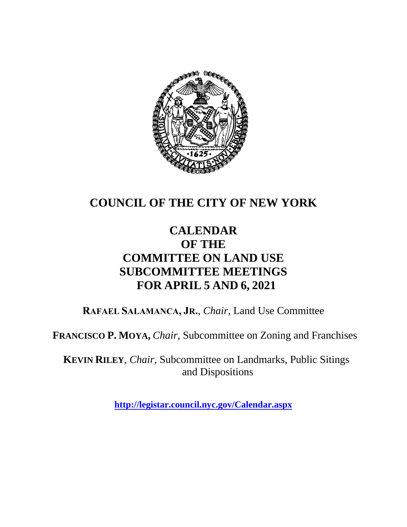

## **COUNCIL OF THE CITY OF NEW YORK**

## **CALENDAR OF THE COMMITTEE ON LAND USE SUBCOMMITTEE MEETINGS FOR APRIL 5 AND 6, 2021**

**RAFAEL SALAMANCA, JR.**, *Chair*, Land Use Committee

**FRANCISCO P. MOYA,** *Chair,* Subcommittee on Zoning and Franchises

**KEVIN RILEY**, *Chair*, Subcommittee on Landmarks, Public Sitings and Dispositions

**<http://legistar.council.nyc.gov/Calendar.aspx>**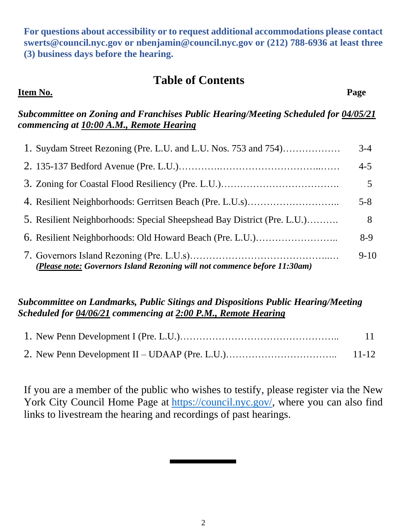**For questions about accessibility or to request additional accommodations please contact [swerts@council.nyc.gov](mailto:swerts@council.nyc.gov) or [nbenjamin@council.nyc.gov](mailto:nbenjamin@council.nyc.gov) or (212) 788-6936 at least three (3) business days before the hearing.**

### **Table of Contents**

#### **Item No. Page**

#### *Subcommittee on Zoning and Franchises Public Hearing/Meeting Scheduled for 04/05/21 commencing at 10:00 A.M., Remote Hearing*

| 1. Suydam Street Rezoning (Pre. L.U. and L.U. Nos. 753 and 754)           | $3-4$   |
|---------------------------------------------------------------------------|---------|
|                                                                           | $4 - 5$ |
|                                                                           |         |
|                                                                           | $5 - 8$ |
| 5. Resilient Neighborhoods: Special Sheepshead Bay District (Pre. L.U.)   | 8       |
| 6. Resilient Neighborhoods: Old Howard Beach (Pre. L.U.)                  | $8-9$   |
| (Please note: Governors Island Rezoning will not commence before 11:30am) | $9-10$  |

#### *Subcommittee on Landmarks, Public Sitings and Dispositions Public Hearing/Meeting Scheduled for 04/06/21 commencing at 2:00 P.M., Remote Hearing*

| -11- |
|------|
|      |

If you are a member of the public who wishes to testify, please register via the New York City Council Home Page at [https://council.nyc.gov/,](https://council.nyc.gov/) where you can also find links to livestream the hearing and recordings of past hearings.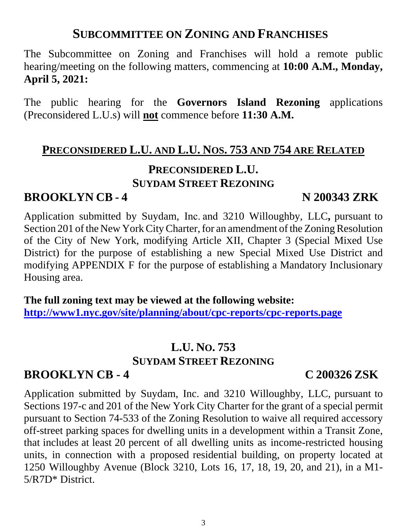## **SUBCOMMITTEE ON ZONING AND FRANCHISES**

The Subcommittee on Zoning and Franchises will hold a remote public hearing/meeting on the following matters, commencing at **10:00 A.M., Monday, April 5, 2021:**

The public hearing for the **Governors Island Rezoning** applications (Preconsidered L.U.s) will **not** commence before **11:30 A.M.**

#### **PRECONSIDERED L.U. AND L.U. NOS. 753 AND 754 ARE RELATED**

## **PRECONSIDERED L.U. SUYDAM STREET REZONING**

## **BROOKLYN CB - 4 N 200343 ZRK**

Application submitted by Suydam, Inc. and 3210 Willoughby, LLC**,** pursuant to Section 201 of the New York City Charter, for an amendment of the Zoning Resolution of the City of New York, modifying Article XII, Chapter 3 (Special Mixed Use District) for the purpose of establishing a new Special Mixed Use District and modifying APPENDIX F for the purpose of establishing a Mandatory Inclusionary Housing area.

**The full zoning text may be viewed at the following website: <http://www1.nyc.gov/site/planning/about/cpc-reports/cpc-reports.page>**

## **L.U. NO. 753 SUYDAM STREET REZONING**

#### **BROOKLYN CB - 4 C 200326 ZSK**

Application submitted by Suydam, Inc. and 3210 Willoughby, LLC, pursuant to Sections 197-c and 201 of the New York City Charter for the grant of a special permit pursuant to Section 74-533 of the Zoning Resolution to waive all required accessory off-street parking spaces for dwelling units in a development within a Transit Zone, that includes at least 20 percent of all dwelling units as income-restricted housing units, in connection with a proposed residential building, on property located at 1250 Willoughby Avenue (Block 3210, Lots 16, 17, 18, 19, 20, and 21), in a M1- 5/R7D\* District.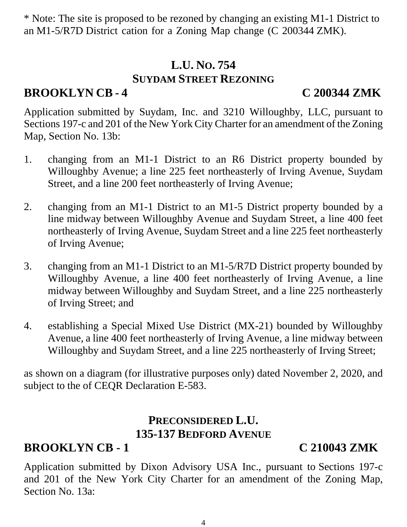\* Note: The site is proposed to be rezoned by changing an existing M1-1 District to an M1-5/R7D District cation for a Zoning Map change (C 200344 ZMK).

## **L.U. NO. 754 SUYDAM STREET REZONING**

## **BROOKLYN CB - 4 C 200344 ZMK**

Application submitted by Suydam, Inc. and 3210 Willoughby, LLC, pursuant to Sections 197-c and 201 of the New York City Charter for an amendment of the Zoning Map, Section No. 13b:

- 1. changing from an M1-1 District to an R6 District property bounded by Willoughby Avenue; a line 225 feet northeasterly of Irving Avenue, Suydam Street, and a line 200 feet northeasterly of Irving Avenue;
- 2. changing from an M1-1 District to an M1-5 District property bounded by a line midway between Willoughby Avenue and Suydam Street, a line 400 feet northeasterly of Irving Avenue, Suydam Street and a line 225 feet northeasterly of Irving Avenue;
- 3. changing from an M1-1 District to an M1-5/R7D District property bounded by Willoughby Avenue, a line 400 feet northeasterly of Irving Avenue, a line midway between Willoughby and Suydam Street, and a line 225 northeasterly of Irving Street; and
- 4. establishing a Special Mixed Use District (MX-21) bounded by Willoughby Avenue, a line 400 feet northeasterly of Irving Avenue, a line midway between Willoughby and Suydam Street, and a line 225 northeasterly of Irving Street;

as shown on a diagram (for illustrative purposes only) dated November 2, 2020, and subject to the of CEQR Declaration E-583.

## **PRECONSIDERED L.U. 135-137 BEDFORD AVENUE**

## **BROOKLYN CB - 1 C 210043 ZMK**

Application submitted by Dixon Advisory USA Inc., pursuant to Sections 197-c and 201 of the New York City Charter for an amendment of the Zoning Map, Section No. 13a: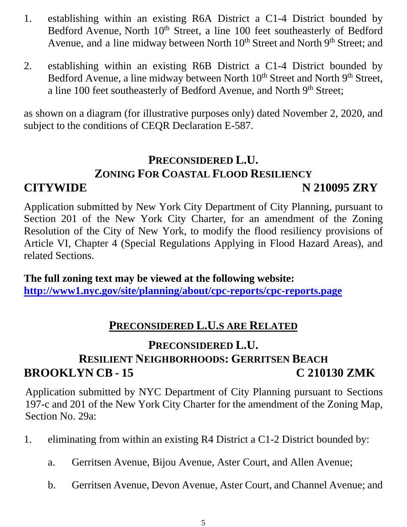- 1. establishing within an existing R6A District a C1-4 District bounded by Bedford Avenue, North  $10<sup>th</sup>$  Street, a line 100 feet southeasterly of Bedford Avenue, and a line midway between North 10<sup>th</sup> Street and North 9<sup>th</sup> Street; and
- 2. establishing within an existing R6B District a C1-4 District bounded by Bedford Avenue, a line midway between North 10<sup>th</sup> Street and North 9<sup>th</sup> Street, a line 100 feet southeasterly of Bedford Avenue, and North 9<sup>th</sup> Street;

as shown on a diagram (for illustrative purposes only) dated November 2, 2020, and subject to the conditions of CEQR Declaration E-587.

## **PRECONSIDERED L.U. ZONING FOR COASTAL FLOOD RESILIENCY CITYWIDE N 210095 ZRY**

Application submitted by New York City Department of City Planning, pursuant to Section 201 of the New York City Charter, for an amendment of the Zoning Resolution of the City of New York, to modify the flood resiliency provisions of Article VI, Chapter 4 (Special Regulations Applying in Flood Hazard Areas), and related Sections.

**The full zoning text may be viewed at the following website: <http://www1.nyc.gov/site/planning/about/cpc-reports/cpc-reports.page>**

## **PRECONSIDERED L.U.S ARE RELATED**

## **PRECONSIDERED L.U. RESILIENT NEIGHBORHOODS: GERRITSEN BEACH BROOKLYN CB - 15 C 210130 ZMK**

Application submitted by NYC Department of City Planning pursuant to Sections 197-c and 201 of the New York City Charter for the amendment of the Zoning Map, Section No. 29a:

- 1. eliminating from within an existing R4 District a C1-2 District bounded by:
	- a. Gerritsen Avenue, Bijou Avenue, Aster Court, and Allen Avenue;
	- b. Gerritsen Avenue, Devon Avenue, Aster Court, and Channel Avenue; and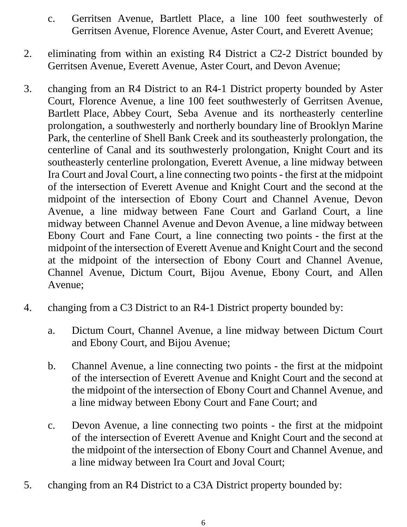- c. Gerritsen Avenue, Bartlett Place, a line 100 feet southwesterly of Gerritsen Avenue, Florence Avenue, Aster Court, and Everett Avenue;
- 2. eliminating from within an existing R4 District a C2-2 District bounded by Gerritsen Avenue, Everett Avenue, Aster Court, and Devon Avenue;
- 3. changing from an R4 District to an R4-1 District property bounded by Aster Court, Florence Avenue, a line 100 feet southwesterly of Gerritsen Avenue, Bartlett Place, Abbey Court, Seba Avenue and its northeasterly centerline prolongation, a southwesterly and northerly boundary line of Brooklyn Marine Park, the centerline of Shell Bank Creek and its southeasterly prolongation, the centerline of Canal and its southwesterly prolongation, Knight Court and its southeasterly centerline prolongation, Everett Avenue, a line midway between Ira Court and Joval Court, a line connecting two points - the first at the midpoint of the intersection of Everett Avenue and Knight Court and the second at the midpoint of the intersection of Ebony Court and Channel Avenue, Devon Avenue, a line midway between Fane Court and Garland Court, a line midway between Channel Avenue and Devon Avenue, a line midway between Ebony Court and Fane Court, a line connecting two points - the first at the midpoint of the intersection of Everett Avenue and Knight Court and the second at the midpoint of the intersection of Ebony Court and Channel Avenue, Channel Avenue, Dictum Court, Bijou Avenue, Ebony Court, and Allen Avenue;
- 4. changing from a C3 District to an R4-1 District property bounded by:
	- a. Dictum Court, Channel Avenue, a line midway between Dictum Court and Ebony Court, and Bijou Avenue;
	- b. Channel Avenue, a line connecting two points the first at the midpoint of the intersection of Everett Avenue and Knight Court and the second at the midpoint of the intersection of Ebony Court and Channel Avenue, and a line midway between Ebony Court and Fane Court; and
	- c. Devon Avenue, a line connecting two points the first at the midpoint of the intersection of Everett Avenue and Knight Court and the second at the midpoint of the intersection of Ebony Court and Channel Avenue, and a line midway between Ira Court and Joval Court;
- 5. changing from an R4 District to a C3A District property bounded by: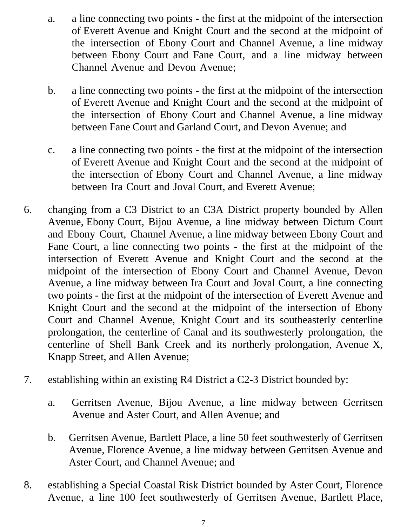- a. a line connecting two points the first at the midpoint of the intersection of Everett Avenue and Knight Court and the second at the midpoint of the intersection of Ebony Court and Channel Avenue, a line midway between Ebony Court and Fane Court, and a line midway between Channel Avenue and Devon Avenue;
- b. a line connecting two points the first at the midpoint of the intersection of Everett Avenue and Knight Court and the second at the midpoint of the intersection of Ebony Court and Channel Avenue, a line midway between Fane Court and Garland Court, and Devon Avenue; and
- c. a line connecting two points the first at the midpoint of the intersection of Everett Avenue and Knight Court and the second at the midpoint of the intersection of Ebony Court and Channel Avenue, a line midway between Ira Court and Joval Court, and Everett Avenue;
- 6. changing from a C3 District to an C3A District property bounded by Allen Avenue, Ebony Court, Bijou Avenue, a line midway between Dictum Court and Ebony Court, Channel Avenue, a line midway between Ebony Court and Fane Court, a line connecting two points - the first at the midpoint of the intersection of Everett Avenue and Knight Court and the second at the midpoint of the intersection of Ebony Court and Channel Avenue, Devon Avenue, a line midway between Ira Court and Joval Court, a line connecting two points - the first at the midpoint of the intersection of Everett Avenue and Knight Court and the second at the midpoint of the intersection of Ebony Court and Channel Avenue, Knight Court and its southeasterly centerline prolongation, the centerline of Canal and its southwesterly prolongation, the centerline of Shell Bank Creek and its northerly prolongation, Avenue X, Knapp Street, and Allen Avenue;
- 7. establishing within an existing R4 District a C2-3 District bounded by:
	- a. Gerritsen Avenue, Bijou Avenue, a line midway between Gerritsen Avenue and Aster Court, and Allen Avenue; and
	- b. Gerritsen Avenue, Bartlett Place, a line 50 feet southwesterly of Gerritsen Avenue, Florence Avenue, a line midway between Gerritsen Avenue and Aster Court, and Channel Avenue; and
- 8. establishing a Special Coastal Risk District bounded by Aster Court, Florence Avenue, a line 100 feet southwesterly of Gerritsen Avenue, Bartlett Place,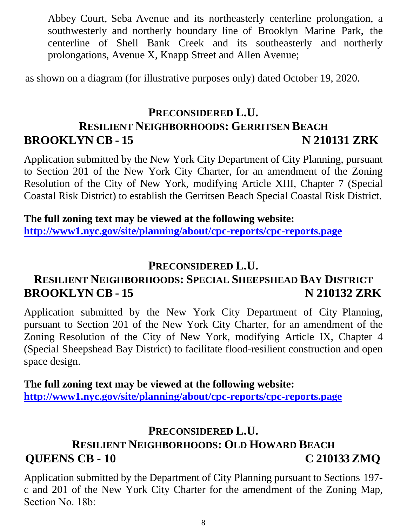Abbey Court, Seba Avenue and its northeasterly centerline prolongation, a southwesterly and northerly boundary line of Brooklyn Marine Park, the centerline of Shell Bank Creek and its southeasterly and northerly prolongations, Avenue X, Knapp Street and Allen Avenue;

as shown on a diagram (for illustrative purposes only) dated October 19, 2020.

## **PRECONSIDERED L.U. RESILIENT NEIGHBORHOODS: GERRITSEN BEACH BROOKLYN CB - 15 N 210131 ZRK**

Application submitted by the New York City Department of City Planning, pursuant to Section 201 of the New York City Charter, for an amendment of the Zoning Resolution of the City of New York, modifying Article XIII, Chapter 7 (Special Coastal Risk District) to establish the Gerritsen Beach Special Coastal Risk District.

**The full zoning text may be viewed at the following website: <http://www1.nyc.gov/site/planning/about/cpc-reports/cpc-reports.page>**

#### **PRECONSIDERED L.U.**

## **RESILIENT NEIGHBORHOODS: SPECIAL SHEEPSHEAD BAY DISTRICT BROOKLYN CB - 15 N 210132 ZRK**

Application submitted by the New York City Department of City Planning, pursuant to Section 201 of the New York City Charter, for an amendment of the Zoning Resolution of the City of New York, modifying Article IX, Chapter 4 (Special Sheepshead Bay District) to facilitate flood-resilient construction and open space design.

**The full zoning text may be viewed at the following website: <http://www1.nyc.gov/site/planning/about/cpc-reports/cpc-reports.page>**

## **PRECONSIDERED L.U.**

## **RESILIENT NEIGHBORHOODS: OLD HOWARD BEACH QUEENS CB - 10 C 210133 ZMQ**

Application submitted by the Department of City Planning pursuant to Sections 197 c and 201 of the New York City Charter for the amendment of the Zoning Map, Section No. 18b: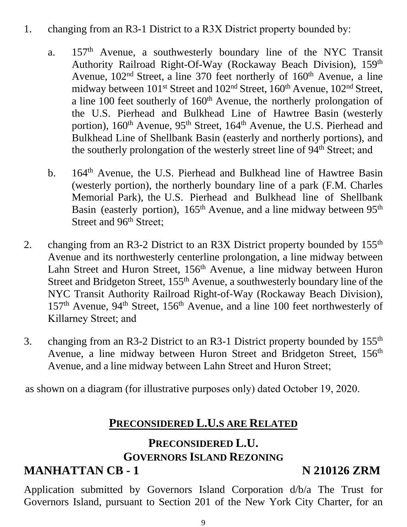- 1. changing from an R3-1 District to a R3X District property bounded by:
	- a. 157th Avenue, a southwesterly boundary line of the NYC Transit Authority Railroad Right-Of-Way (Rockaway Beach Division), 159th Avenue,  $102<sup>nd</sup>$  Street, a line 370 feet northerly of  $160<sup>th</sup>$  Avenue, a line midway between 101<sup>st</sup> Street and 102<sup>nd</sup> Street, 160<sup>th</sup> Avenue, 102<sup>nd</sup> Street, a line  $100$  feet southerly of  $160<sup>th</sup>$  Avenue, the northerly prolongation of the U.S. Pierhead and Bulkhead Line of Hawtree Basin (westerly portion), 160<sup>th</sup> Avenue, 95<sup>th</sup> Street, 164<sup>th</sup> Avenue, the U.S. Pierhead and Bulkhead Line of Shellbank Basin (easterly and northerly portions), and the southerly prolongation of the westerly street line of 94<sup>th</sup> Street; and
	- b. 164<sup>th</sup> Avenue, the U.S. Pierhead and Bulkhead line of Hawtree Basin (westerly portion), the northerly boundary line of a park (F.M. Charles Memorial Park), the U.S. Pierhead and Bulkhead line of Shellbank Basin (easterly portion), 165<sup>th</sup> Avenue, and a line midway between 95<sup>th</sup> Street and 96<sup>th</sup> Street;
- 2. changing from an R3-2 District to an R3X District property bounded by 155<sup>th</sup> Avenue and its northwesterly centerline prolongation, a line midway between Lahn Street and Huron Street, 156<sup>th</sup> Avenue, a line midway between Huron Street and Bridgeton Street, 155<sup>th</sup> Avenue, a southwesterly boundary line of the NYC Transit Authority Railroad Right-of-Way (Rockaway Beach Division), 157<sup>th</sup> Avenue, 94<sup>th</sup> Street, 156<sup>th</sup> Avenue, and a line 100 feet northwesterly of Killarney Street; and
- 3. changing from an R3-2 District to an R3-1 District property bounded by 155<sup>th</sup> Avenue, a line midway between Huron Street and Bridgeton Street, 156<sup>th</sup> Avenue, and a line midway between Lahn Street and Huron Street;

as shown on a diagram (for illustrative purposes only) dated October 19, 2020. 

## **PRECONSIDERED L.U.S ARE RELATED**

## **PRECONSIDERED L.U. GOVERNORS ISLAND REZONING**

## **MANHATTAN CB - 1 N 210126 ZRM**

Application submitted by Governors Island Corporation d/b/a The Trust for Governors Island, pursuant to Section 201 of the New York City Charter, for an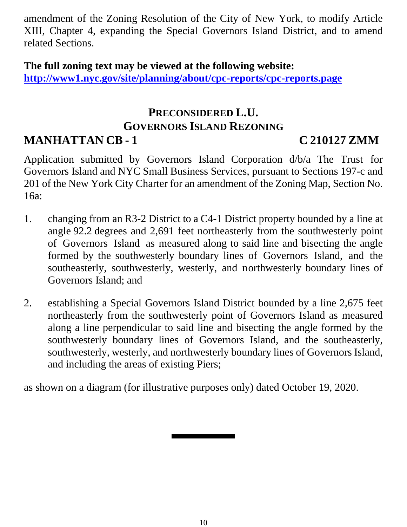amendment of the Zoning Resolution of the City of New York, to modify Article XIII, Chapter 4, expanding the Special Governors Island District, and to amend related Sections.

**The full zoning text may be viewed at the following website: <http://www1.nyc.gov/site/planning/about/cpc-reports/cpc-reports.page>**

### **PRECONSIDERED L.U. GOVERNORS ISLAND REZONING MANHATTAN CB - 1 C 210127 ZMM**

Application submitted by Governors Island Corporation d/b/a The Trust for Governors Island and NYC Small Business Services, pursuant to Sections 197-c and 201 of the New York City Charter for an amendment of the Zoning Map, Section No. 16a:

- 1. changing from an R3-2 District to a C4-1 District property bounded by a line at angle 92.2 degrees and 2,691 feet northeasterly from the southwesterly point of Governors Island as measured along to said line and bisecting the angle formed by the southwesterly boundary lines of Governors Island, and the southeasterly, southwesterly, westerly, and northwesterly boundary lines of Governors Island; and
- 2. establishing a Special Governors Island District bounded by a line 2,675 feet northeasterly from the southwesterly point of Governors Island as measured along a line perpendicular to said line and bisecting the angle formed by the southwesterly boundary lines of Governors Island, and the southeasterly, southwesterly, westerly, and northwesterly boundary lines of Governors Island, and including the areas of existing Piers;

as shown on a diagram (for illustrative purposes only) dated October 19, 2020.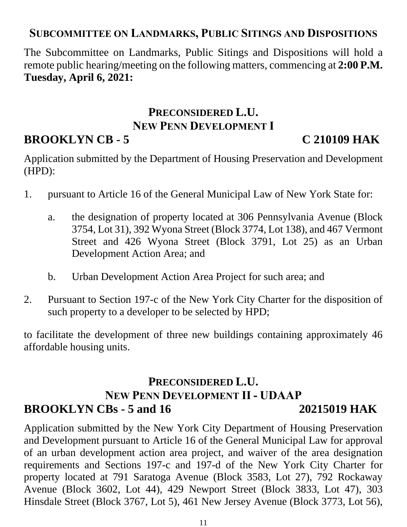### **SUBCOMMITTEE ON LANDMARKS, PUBLIC SITINGS AND DISPOSITIONS**

The Subcommittee on Landmarks, Public Sitings and Dispositions will hold a remote public hearing/meeting on the following matters, commencing at **2:00 P.M. Tuesday, April 6, 2021:**

# **PRECONSIDERED L.U. NEW PENN DEVELOPMENT I**

## **BROOKLYN CB - 5 C 210109 HAK**

Application submitted by the Department of Housing Preservation and Development (HPD):

- 1. pursuant to Article 16 of the General Municipal Law of New York State for:
	- a. the designation of property located at 306 Pennsylvania Avenue (Block 3754, Lot 31), 392 Wyona Street (Block 3774, Lot 138), and 467 Vermont Street and 426 Wyona Street (Block 3791, Lot 25) as an Urban Development Action Area; and
	- b. Urban Development Action Area Project for such area; and
- 2. Pursuant to Section 197-c of the New York City Charter for the disposition of such property to a developer to be selected by HPD;

to facilitate the development of three new buildings containing approximately 46 affordable housing units.

## **PRECONSIDERED L.U. NEW PENN DEVELOPMENT II - UDAAP BROOKLYN CBs - 5 and 16 20215019 HAK**

Application submitted by the New York City Department of Housing Preservation and Development pursuant to Article 16 of the General Municipal Law for approval of an urban development action area project, and waiver of the area designation requirements and Sections 197-c and 197-d of the New York City Charter for property located at 791 Saratoga Avenue (Block 3583, Lot 27), 792 Rockaway Avenue (Block 3602, Lot 44), 429 Newport Street (Block 3833, Lot 47), 303 Hinsdale Street (Block 3767, Lot 5), 461 New Jersey Avenue (Block 3773, Lot 56),